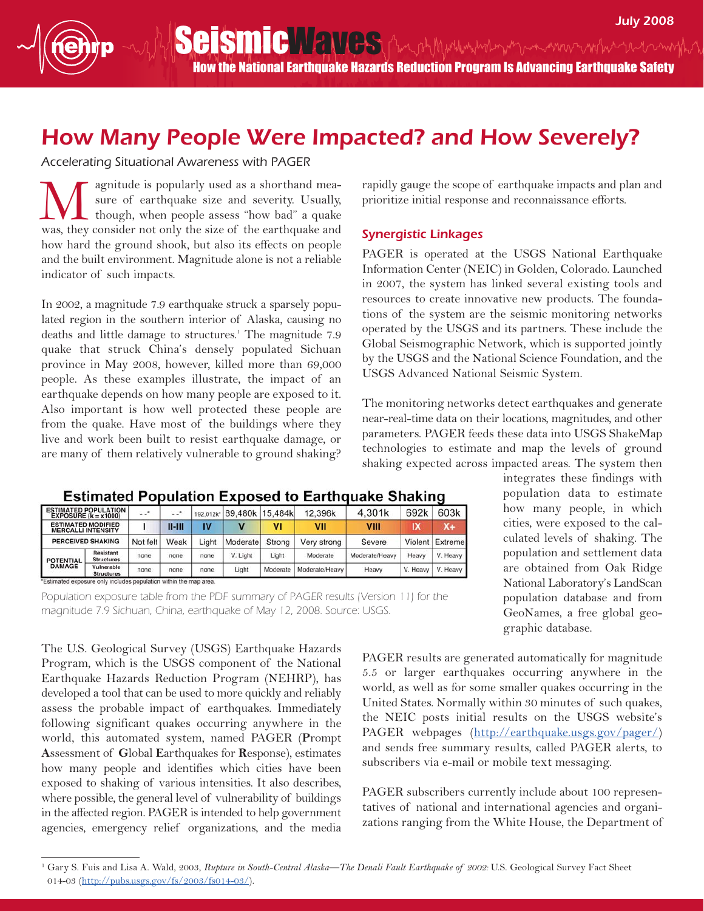How the National Earthquake Hazards Reduction Program Is Advancing Earthquake Safety

## How Many People Were Impacted? and How Severely?

Accelerating Situational Awareness with PAGER

agnitude is popularly used as a shorthand measure of earthquake size and severity. Usually, though, when people assess "how bad" a quake We agnitude is popularly used as a shorthand measure of earthquake size and severity. Usually, though, when people assess "how bad" a quake was, they consider not only the size of the earthquake and how hard the ground shook, but also its effects on people and the built environment. Magnitude alone is not a reliable indicator of such impacts.

In 2002, a magnitude 7.9 earthquake struck a sparsely populated region in the southern interior of Alaska, causing no deaths and little damage to structures.<sup>1</sup> The magnitude 7.9 quake that struck China's densely populated Sichuan province in May 2008, however, killed more than 69,000 people. As these examples illustrate, the impact of an earthquake depends on how many people are exposed to it. Also important is how well protected these people are from the quake. Have most of the buildings where they live and work been built to resist earthquake damage, or are many of them relatively vulnerable to ground shaking?

rapidly gauge the scope of earthquake impacts and plan and prioritize initial response and reconnaissance efforts.

## Synergistic Linkages

PAGER is operated at the USGS National Earthquake Information Center (NEIC) in Golden, Colorado. Launched in 2007, the system has linked several existing tools and resources to create innovative new products. The foundations of the system are the seismic monitoring networks operated by the USGS and its partners. These include the Global Seismographic Network, which is supported jointly by the USGS and the National Science Foundation, and the USGS Advanced National Seismic System.

The monitoring networks detect earthquakes and generate near-real-time data on their locations, magnitudes, and other parameters. PAGER feeds these data into USGS ShakeMap technologies to estimate and map the levels of ground shaking expected across impacted areas. The system then

| ----------<br>odaiahon Exposure<br>Lui Giudine Uliumini |                                       |          |            |           |          |          |                |                |          |          |
|---------------------------------------------------------|---------------------------------------|----------|------------|-----------|----------|----------|----------------|----------------|----------|----------|
| <b>ESTIMATED POPULATION</b><br>EXPOSURE $(k = x1000)$   |                                       | $-1$     | $-1$       | 192.012k* | 89,480k  | 15.484k  | 12.396k        | 4.301k         | 692k     | 603k     |
| <b>ESTIMATED MODIFIED</b><br><b>MERCALLI INTENSITY</b>  |                                       |          | $II - III$ |           |          | VI       | VII            | VIII           | IХ       | X+       |
| <b>PERCEIVED SHAKING</b>                                |                                       | Not felt | Weak       | Liaht     | Moderate | Strong   | Very strong    | Severe         | Violent  | Extreme  |
| <b>POTENTIAL</b><br><b>DAMAGE</b>                       | <b>Resistant</b><br><b>Structures</b> | none     | none       | none      | V. Light | Light    | Moderate       | Moderate/Heavy | Heavy    | V. Heavy |
|                                                         | Vulnerable<br><b>Structures</b>       | none     | none       | none      | Light    | Moderate | Moderate/Heavy | Heavy          | V. Heavy | V. Heavy |

## Estimated Population Exposed to Earthquake Shaking

\*Estimated exposure only includes population within the map area.

Population exposure table from the PDF summary of PAGER results (Version 11) for the magnitude 7.9 Sichuan, China, earthquake of May 12, 2008. Source: USGS.

The U.S. Geological Survey (USGS) Earthquake Hazards Program, which is the USGS component of the National Earthquake Hazards Reduction Program (NEHRP), has developed a tool that can be used to more quickly and reliably assess the probable impact of earthquakes. Immediately following significant quakes occurring anywhere in the world, this automated system, named PAGER (**P**rompt **A**ssessment of **G**lobal **E**arthquakes for **R**esponse), estimates how many people and identifies which cities have been exposed to shaking of various intensities. It also describes, where possible, the general level of vulnerability of buildings in the affected region. PAGER is intended to help government agencies, emergency relief organizations, and the media

integrates these findings with population data to estimate how many people, in which cities, were exposed to the calculated levels of shaking. The population and settlement data are obtained from Oak Ridge National Laboratory's LandScan population database and from GeoNames, a free global geographic database.

PAGER results are generated automatically for magnitude 5.5 or larger earthquakes occurring anywhere in the world, as well as for some smaller quakes occurring in the United States. Normally within 30 minutes of such quakes, the NEIC posts initial results on the USGS website's PAGER webpages [\(http://earthquake.usgs.gov/pager/\)](http://earthquake.usgs.gov/pager) and sends free summary results, called PAGER alerts, to subscribers via e-mail or mobile text messaging.

PAGER subscribers currently include about 100 representatives of national and international agencies and organizations ranging from the White House, the Department of

<sup>&</sup>lt;sup>1</sup> Gary S. Fuis and Lisa A. Wald, 2003, *Rupture in South-Central Alaska—The Denali Fault Earthquake of 2002:* U.S. Geological Survey Fact Sheet 014-03 [\(http://pubs.usgs.gov/fs/2003/fs014-0](http://pubs.usgs.gov/fs/2003/fs014-03)3/).